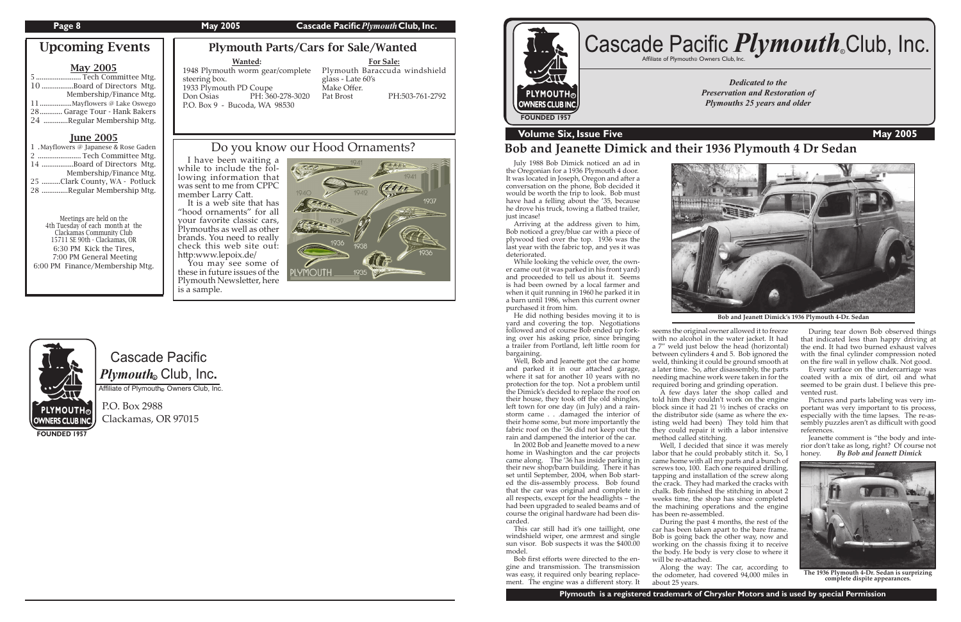#### **Page 8** May 2005 **Cascade Pacific** *Plymouth* Club, Inc.

Cascade Pacific  $\boldsymbol{P} \boldsymbol{l}$ y*mouth*. Club, Inc.

Affiliate of Plymouth Owners Club, Inc.

P.O. Box 2988 Clackamas, OR 97015

**FOUNDED 1957**

*Dedicated to the Preservation and Restoration of Plymouths 25 years and older*



### **Volume Six, Issue Five May 2005**

# Cascade Pacific *Plymouth*.Club, Inc.

### Plymouth Parts/Cars for Sale/Wanted

# **Bob and Jeane�e Dimick and their 1936 Plymouth 4 Dr Sedan**

#### **Wanted:**

#### 1948 Plymouth worm gear/complete Plymouth Baraccuda windshield steering box. 1933 Plymouth PD Coupe<br>Don Osias PH: 360 PH: 360-278-3020 P.O. Box 9 - Bucoda, WA 98530

 July 1988 Bob Dimick noticed an ad in the Oregonian for a 1936 Plymouth 4 door. It was located in Joseph, Oregon and after a conversation on the phone, Bob decided it would be worth the trip to look. Bob must have had a felling about the '35, because he drove his truck, towing a flatbed trailer, just incase!

Well, Bob and Jeanette got the car home and parked it in our attached garage, where it sat for another 10 years with no protection for the top. Not a problem until the Dimick's decided to replace the roof on their house, they took off the old shingles, left town for one day (in July) and a rainstorm came . . .damaged the interior of their home some, but more importantly the fabric roof on the '36 did not keep out the rain and dampened the interior of the car.

 Arriving at the address given to him, Bob noticed a grey/blue car with a piece of plywood tied over the top. 1936 was the last year with the fabric top, and yes it was deteriorated.

In 2002 Bob and Jeanette moved to a new home in Washington and the car projects came along. The '36 has inside parking in their new shop/barn building. There it has set until September, 2004, when Bob started the dis-assembly process. Bob found that the car was original and complete in all respects, except for the headlights – the had been upgraded to sealed beams and of course the original hardware had been discarded.

 While looking the vehicle over, the owner came out (it was parked in his front yard) and proceeded to tell us about it. Seems is had been owned by a local farmer and when it quit running in 1960 he parked it in a barn until 1986, when this current owner purchased it from him.

 He did nothing besides moving it to is yard and covering the top. Negotiations followed and of course Bob ended up forking over his asking price, since bringing a trailer from Portland, left little room for bargaining.

**For Sale:** glass - Late 60's Make Offer.<br>Pat Brost PH:503-761-2792

> This car still had it's one taillight, one windshield wiper, one armrest and single sun visor. Bob suspects it was the \$400.00 model.

 Bob first efforts were directed to the engine and transmission. The transmission was easy, it required only bearing replacement. The engine was a different story. It



Jeanette comment is "the body and interior don't take as long, right? Of course not honey. *By Bob and Jeane� Dimick*

seems the original owner allowed it to freeze with no alcohol in the water jacket. It had a 7" weld just below the head (horizontal) between cylinders 4 and 5. Bob ignored the weld, thinking it could be ground smooth at a later time. So, after disassembly, the parts needing machine work were taken in for the required boring and grinding operation.

You may see some of these in future issues of the Plymouth Newsletter, here is a sample.



 A few days later the shop called and told him they couldn't work on the engine block since it had 21 ½ inches of cracks on the distributor side (same as where the existing weld had been) They told him that they could repair it with a labor intensive

method called stitching.

 Well, I decided that since it was merely labor that he could probably stitch it. So, I came home with all my parts and a bunch of screws too, 100. Each one required drilling, tapping and installation of the screw along the crack. They had marked the cracks with chalk. Bob finished the stitching in about 2 weeks time, the shop has since completed the machining operations and the engine

has been re-assembled.

will be re-attached.

 During the past 4 months, the rest of the car has been taken apart to the bare frame. Bob is going back the other way, now and working on the chassis fixing it to receive the body. He body is very close to where it

 Along the way: The car, according to the odometer, had covered 94,000 miles in about 25 years.

**PLYMOUTH®** OWNERS CLUB INC.



**Bob and Jeane� Dimick's 1936 Plymouth 4-Dr. Sedan**

| <b>May 2005</b> |                              |  |
|-----------------|------------------------------|--|
|                 | 5  Tech Committee Mtg.       |  |
|                 | 10Board of Directors Mtg.    |  |
|                 | Membership/Finance Mtg.      |  |
|                 |                              |  |
|                 | 28 Garage Tour - Hank Bakers |  |
|                 | 24 Regular Membership Mtg.   |  |

#### June 2005

| 1 .Mayflowers @ Japanese & Rose Gaden |
|---------------------------------------|
| 2  Tech Committee Mtg.                |
| 14 Board of Directors Mtg.            |
| Membership/Finance Mtg.               |
| 25 Clark County, WA - Potluck         |
| 28 Regular Membership Mtg.            |

Meetings are held on the 4th Tuesday of each month at the Clackamas Community Club 15711 SE 90th - Clackamas, OR 6:30 PM Kick the Tires, 7:00 PM General Meeting 6:00 PM Finance/Membership Mtg.

Upcoming Events

 During tear down Bob observed things that indicated less than happy driving at the end. It had two burned exhaust valves with the final cylinder compression noted on the fire wall in yellow chalk. Not good.

 Every surface on the undercarriage was coated with a mix of dirt, oil and what seemed to be grain dust. I believe this prevented rust.

 Pictures and parts labeling was very important was very important to tis process, especially with the time lapses. The re-assembly puzzles aren't as difficult with good references.



**The 1936 Plymouth 4-Dr. Sedan is surprizing complete dispite appearances.**

# Do you know our Hood Ornaments?

 I have been waiting a while to include the following information that was sent to me from CPPC member Larry Ca�.

It is a web site that has "hood ornaments" for all your favorite classic cars, Plymouths as well as other brands. You need to really check this web site out: http:www.lepoix.de/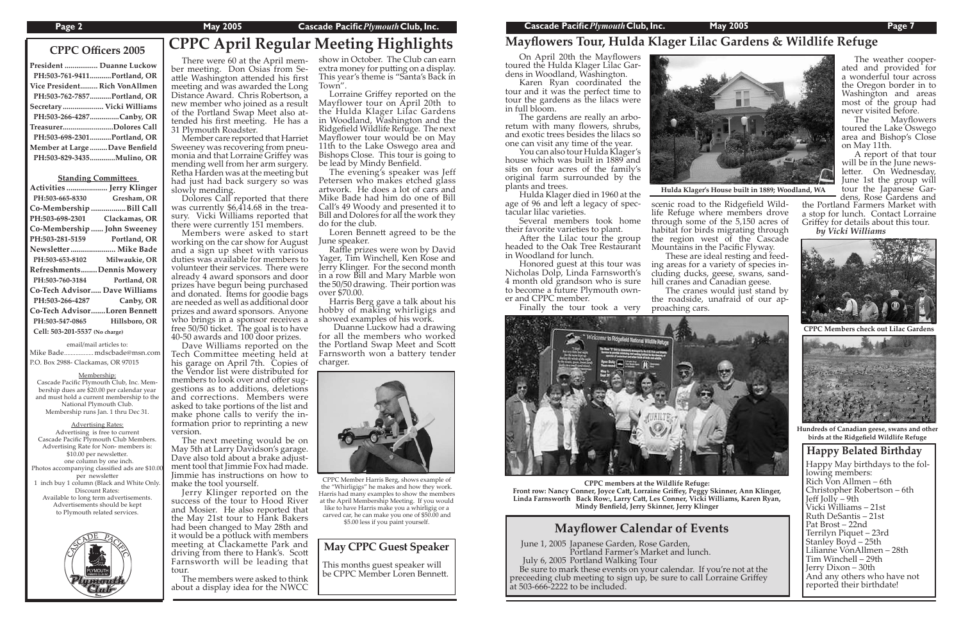# **CPPC April Regular Meeting Highlights CPPC Officers 2005**

| President  Duanne Luckow      |                             |
|-------------------------------|-----------------------------|
|                               | PH:503-761-9411Portland, OR |
| Vice President Rich VonAllmen |                             |
|                               | PH:503-762-7857Portland, OR |
| Secretary Vicki Williams      |                             |
|                               | PH:503-266-4287Canby, OR    |
| TreasurerDolores Call         |                             |
|                               | PH:503-698-2301Portland, OR |
| Member at Large Dave Benfield |                             |
| PH:503-829-3435Mulino, OR     |                             |

#### **Standing Committees**

|                                      | Activities  Jerry Klinger |  |
|--------------------------------------|---------------------------|--|
| PH:503-665-8330                      | Gresham, OR               |  |
| Co-Membership Bill Call              |                           |  |
| PH:503-698-2301                      | Clackamas, OR             |  |
| Co-Membership  John Sweeney          |                           |  |
| PH:503-281-5159                      | Portland, OR              |  |
| Newsletter  Mike Bade                |                           |  |
| PH:503-653-8102                      | Milwaukie, OR             |  |
| RefreshmentsDennis Mowery            |                           |  |
| PH:503-760-3184                      | Portland, OR              |  |
| <b>Co-Tech Advisor Dave Williams</b> |                           |  |
| PH:503-266-4287                      | Canby, OR                 |  |
| Co-Tech AdvisorLoren Bennett         |                           |  |
| PH:503-547-0865                      | Hillsboro, OR             |  |
| Cell: 503-201-5537 (No charge)       |                           |  |
|                                      |                           |  |

There were 60 at the April member meeting. Don Osias from Seattle Washington attended his first meeting and was awarded the Long Distance Award. Chris Robertson, a

email/mail articles to: Mike Bade ..................mdscbade@msn.com P.O. Box 2988- Clackamas, OR 97015

Membership:

new member who joined as a result<br>of the Portland Swap Meet also attended his first meeting. He has a 31 Plymouth Roadster. Member care reported that Harriet<br>Sweeney was recovering from pneumonia and that Lorraine Griffey was mending well from her arm surgery. Retha Harden was at the meeting but had just had back surgery so was

Cascade Pacific Plymouth Club, Inc. Membership dues are \$20.00 per calendar year and must hold a current membership to the National Plymouth Club. Membership runs Jan. 1 thru Dec 31.

Advertising Rates: Advertising is free to current Cascade Pacific Plymouth Club Members. Advertising Rate for Non- members is: \$10.00 per newsletter. one column by one inch. Photos accompanying classified ads are \$10.0 per newsletter 1 inch buy 1 column (Black and White Only. Discount Rates: Available to long term advertisements. Advertisements should be kept to Plymouth related services.



# **Mayflowers Tour, Hulda Klager Lilac Gardens & Wildlife Refuge**

Loren Bennett agreed to be the June speaker.

slowly mending. Dolores Call reported that there was currently \$6,414.68 in the trea- sury. Vicki Williams reported that there were currently 151 members.

 Members were asked to start working on the car show for August and a sign up sheet with various duties was available for members to volunteer their services. There were already 4 award sponsors and door prizes have begun being purchased and donated. Items for goodie bags are needed as well as additional door prizes and award sponsors. Anyone who brings in a sponsor receives a free 50/50 ticket. The goal is to have 40-50 awards and 100 door prizes.

 Dave Williams reported on the Tech Committee meeting held at his garage on April 7th. Copies of the Vendor list were distributed for members to look over and offer suggestions as to additions, deletions and corrections. Members were asked to take portions of the list and make phone calls to verify the information prior to reprinting a new version.

After the Lilac tour the group headed to the Oak Tree Restaurant in Woodland for lunch.

 The next meeting would be on May 5th at Larry Davidson's garage. Dave also told about a brake adjustment tool that Jimmie Fox had made. Jimmie has instructions on how to make the tool yourself.

 Jerry Klinger reported on the success of the tour to Hood River and Mosier. He also reported that the May 21st tour to Hank Bakers had been changed to May 28th and it would be a potluck with members meeting at Clackamette Park and driving from there to Hank's. Scott Farnsworth will be leading that tour.

The cranes would just stand by the roadside, unafraid of our ap-

 The members were asked to think about a display idea for the NWCC

show in October. The Club can earn extra money for putting on a display. This year's theme is "Santa's Back in Town".

> Happy May birthdays to the fol-<br>lowing members: Rich Von Allmen – 6th Christopher Robertson – 6th Jeff Jolly  $-9th$ Vicki Williams – 21st Ruth DeSantis – 21st Pat Brost – 22nd Terrilyn Piquet – 23rd Stanley Boyd – 25th Lilianne VonAllmen – 28th Tim Winchell – 29th Jerry Dixon – 30th And any others who have not reported their birthdate! **Happy Belated Birthday**

This months guest speaker will be CPPC Member Loren Bennett.

 Lorraine Griffey reported on the Mayflower tour on April 20th to the Hulda Klager Lilac Gardens in Woodland, Washington and the Ridgefield Wildlife Refuge. The next Mayflower tour would be on May 11th to the Lake Oswego area and Bishops Close. This tour is going to be lead by Mindy Benfield.

 The evening's speaker was Jeff Petersen who makes etched glass artwork. He does a lot of cars and Mike Bade had him do one of Bill Call's 49 Woody and presented it to Bill and Dolores for all the work they do for the club.

 Raffle prizes were won by David Yager, Tim Winchell, Ken Rose and Jerry Klinger. For the second month in a row Bill and Mary Marble won the 50/50 drawing. Their portion was over \$70.00.

 Harris Berg gave a talk about his hobby of making whirligigs and showed examples of his work.

 Duanne Luckow had a drawing for all the members who worked the Portland Swap Meet and Scott Farnsworth won a battery tender charger.

> June 1, 2005 Japanese Garden, Rose Garden, Portland Farmer's Market and lunch.<br>July 6, 2005 Portland Walking Tour Be sure to mark these events on your calendar. If you're not at the preceeding club meeting to sign up, be sure to call Lorraine Griffey at 503-666-2222 to be included.

### **Mayflower Calendar of Events**



**CPPC members at the Wildlife Refuge: Front row: Nancy Conner, Joyce Ca�, Lorraine Griffey, Peggy Skinner, Ann Klinger, Linda Farnsworth Back Row:, Larry Ca�, Les Conner, Vicki Williams, Karen Ryan, Mindy Benfield, Jerry Skinner, Jerry Klinger**



**CPPC Members check out Lilac Gardens**



**Hundreds of Canadian geese, swans and other birds at the Ridgefield Wildlife Refuge**



CPPC Member Harris Berg, shows example of the "Whirligigs" he makes and how they work. Harris had many examples to show the members at the April Membership Meeting. If you would like to have Harris make you a whirligig or a carved car, he can make you one of \$50.00 and \$5.00 less if you paint yourself.

**Hulda Klager's House built in 1889; Woodland, WA**

 On April 20th the Mayflowers toured the Hulda Klager Lilac Gardens in Woodland, Washington.

 Karen Ryan coordinated the tour and it was the perfect time to tour the gardens as the lilacs were in full bloom.

 The gardens are really an arboretum with many flowers, shrubs, and exotic trees besides the lilacs so one can visit any time of the year.

 You can also tour Hulda Klager's house which was built in 1889 and sits on four acres of the family's original farm surrounded by the plants and trees.

 Hulda Klager died in 1960 at the age of 96 and left a legacy of spectacular lilac varieties.

 Several members took home their favorite varieties to plant.

 Honored guest at this tour was Nicholas Dolp, Linda Farnsworth's 4 month old grandson who is sure to become a future Plymouth owner and CPPC member.

Finally the tour took a very



scenic road to the Ridgefield Wildlife Refuge where members drove through some of the 5,150 acres of habitat for birds migrating through the region west of the Cascade Mountains in the Pacific Flyway.

 These are ideal resting and feeding areas for a variety of species including ducks, geese, swans, sandhill cranes and Canadian geese.

proaching cars.

 The weather cooperated and provided for a wonderful tour across the Oregon border in to Washington and areas most of the group had never visited before.

 The Mayflowers toured the Lake Oswego area and Bishop's Close on May 11th.

 A report of that tour will be in the June newsletter. On Wednesday, June 1st the group will tour the Japanese Gardens, Rose Gardens and

the Portland Farmers Market with a stop for lunch. Contact Lorraine Griffey for details about this tour. *by Vicki Williams*

#### **May CPPC Guest Speaker**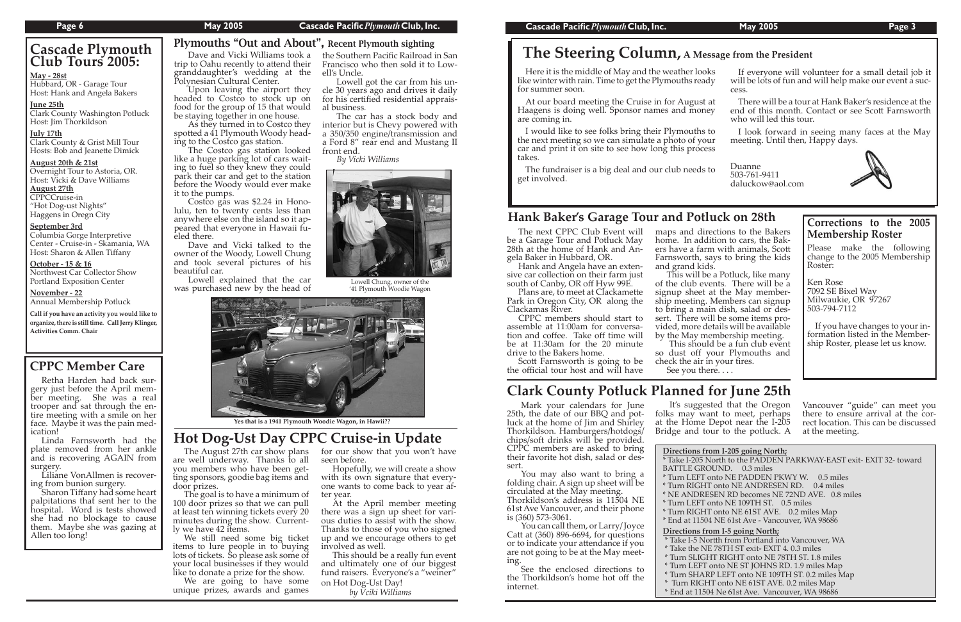#### **Page 6 May 2005 Cascade Pacific***Plymouth***Club, Inc. Cascade Pacific***Plymouth***Club, Inc. May 2005 Page 3**

# **CPPC Member Care**

## **Hank Baker's Garage Tour and Potluck on 28th**

Retha Harden had back surgery just before the April member meeting. She was a real trooper and sat through the entire meeting with a smile on her face. Maybe it was the pain med- ication!

 Sharon Tiffany had some heart palpitations that sent her to the hospital. Word is tests showed she had no blockage to cause them. Maybe she was gazing at Allen too long!

Hubbard, OR - Garage Tour Host: Hank and Angela Bakers

 Linda Farnsworth had the plate removed from her ankle and is recovering AGAIN from surgery.

Clark County & Grist Mill Tour Hosts: Bob and Jeanette Dimick

 Liliane VonAllmen is recovering from bunion surgery.

Columbia Gorge Interpretive Center - Cruise-in - Skamania, WA Host: Sharon & Allen Tiffany

**October - 15 & 16** Northwest Car Collector Show Portland Exposition Center

## **Cascade Plymouth Club Tours 2005:** ....

#### **May - 28st**

Here it is the middle of May and the weather looks like winter with rain. Time to get the Plymouths read for summer soon.

#### **June 25th**

Clark County Washington Potluck Host: Jim Thorkildson ....

At our board meeting the Cruise in for August Haagens is doing well. Sponsor names and mon are coming in.

#### **July 17th**

I would like to see folks bring their Plymouths the next meeting so we can simulate a photo of yo car and print it on site to see how long this proce takes.

#### **August 20th & 21st**

The fundraiser is a big deal and our club needs get involved.

Overnight Tour to Astoria, OR. Host: Vicki & Dave Williams

### **August 27th**

CPPCCruise-in "Hot Dog-ust Nights" Haggens in Oregn City ....

#### **September 3rd**

#### **November - 22**

Annual Membership Potluck ....

**Call if you have an activity you would like to organize, there is still time. Call Jerry Klinger, Activities Comm. Chair**

Plans are, to meet at Clackamette Park in Oregon City, OR along the Clackamas River.

CPPC members should start to<br>assemble at 11:00am for conversation and coffee. Take off time will be at 11:30am for the 20 minute drive to the Bakers home.<br>Scott Farnsworth is going to be

the official tour host and will have

maps and directions to the Bakers<br>home. In addition to cars, the Bakers have a farm with animals, Scott Farnsworth, says to bring the kids

This will be a Potluck, like many of the club events. There will be a signup sheet at the May member-<br>ship meeting. Members can signup<br>to bring a main dish, salad or dessert. There will be some items provided, more details will be available<br>by the May membership meeting. This should be a fun club event

| жs<br>dy    | If everyone will volunteer for a small detail job it<br>will be lots of fun and will help make our event a suc-<br>cess.               |
|-------------|----------------------------------------------------------------------------------------------------------------------------------------|
| : at<br>ιey | There will be a tour at Hank Baker's residence at the<br>end of this month. Contact or see Scott Farnsworth<br>who will led this tour. |
| to<br>ur    | I look forward in seeing many faces at the May<br>meeting. Until then, Happy days.                                                     |
| ess<br>to   | Duanne<br>503-761-9411                                                                                                                 |
|             | daluckow@aol.com                                                                                                                       |

# **The Steering Column, A Message from the President**

### Plymouths "Out and About", Recent Plymouth sighting

Lowell Chung, owner of the '41 Plymouth Woodie Wagon



 **Yes that is a 1941 Plymouth Woodie Wagon, in Hawii??**

#### **Corrections to the 2005 Membership Roster**

Please make the following change to the 2005 Membership Roster:

Ken Rose 7092 SE Bixel Way Milwaukie, OR 97267 503-794-7112

If you have changes to your in- formation listed in the Member- ship Roster, please let us know.

The next CPPC Club Event will be a Garage Tour and Potluck May 28th at the home of Hank and Angela Baker in Hubbard, OR.

Hank and Angela have an extensive car collection on their farm just south of Canby, OR off Hyw 99E.

> **Prom I-205 going North;** North to the PADDEN PARKWAY-EAST exit- EXIT 32- toward OUND. 0.3 miles onto NE PADDEN PKWY W. 0.5 miles T onto NE ANDRESEN RD. 0.4 miles ESEN RD becomes NE 72ND AVE. 0.8 miles onto NE 109TH ST. 0.5 miles T onto NE 61ST AVE. 0.2 miles Map  $94$  NE 61st Ave - Vancouver, WA  $986\overline{8}6$ **<u>om I-5 going North;</u>** ortth from Portland into Vancouver, WA \* Take the NE 78TH ST exit- EXIT 4. 0.3 miles \* Turn SLIGHT RIGHT onto NE 78TH ST. 1.8 miles \* Turn LEFT onto NE ST JOHNS RD. 1.9 miles Map \* Turn SHARP LEFT onto NE 109TH ST. 0.2 miles Map \* Turn RIGHT onto NE 61ST AVE. 0.2 miles Map

for our show that you won't have seen before.<br>Hopefully, we will create a show

with its own signature that everyone wants to come back to year after year.

so dust off your Plymouths and check the air in your tires. See you there. . . .

 The Costco gas station looked like a huge parking lot of cars waiting to fuel so they knew they could park their car and get to the station before the Woody would ever make it to the pumps.

 Dave and Vicki Williams took a trip to Oahu recently to attend their granddaughter's wedding at the Polynesian Cultural Center. ell's Uncle.

 Upon leaving the airport they headed to Costco to stock up on food for the group of 15 that would be staying together in one house. for his certified residential appraisal business.

 Costco gas was \$2.24 in Honolulu, ten to twenty cents less than anywhere else on the island so it appeared that everyone in Hawaii fueled there.

 As they turned in to Costco they spotted a 41 Plymouth Woody heading to the Costco gas station. interior but is Chevy powered with a 350/350 engine/transmission and front end.

 Dave and Vicki talked to the owner of the Woody, Lowell Chung and took several pictures of his beautiful car.

 Lowell explained that the car was purchased new by the head of

the Southern Pacific Railroad in San Francisco who then sold it to Low-

 Lowell got the car from his uncle 30 years ago and drives it daily

The car has a stock body and

a Ford 8" rear end and Mustang II

*By Vicki Williams*

 Mark your calendars for June 25th, the date of our BBQ and potluck at the home of Jim and Shirley Thorkildson. Hamburgers/hotdogs/ chips/so� drinks will be provided. CPPC members are asked to bring their favorite hot dish, salad or dessert.

 You may also want to bring a folding chair. A sign up sheet will be circulated at the May meeting. Thorkildson's address is 11504 NE 61st Ave Vancouver, and their phone is (360) 573-3061.

 You can call them, or Larry/ Joyce Catt at  $(360)$  896-6694, for questions or to indicate your a�endance if you are not going to be at the May meeting.

 See the enclosed directions to the Thorkildson's home hot off the internet.

# **Clark County Potluck Planned for June 25th**

 It's suggested that the Oregon folks may want to meet, perhaps at the Home Depot near the I-205 Bridge and tour to the potluck. A

| <b>Directions</b> fr |
|----------------------|
| * Take I-205 N       |
| <b>BATTLE GRO</b>    |
| * Turn LEFT          |
| * Turn RIGHT         |
| * NE ANDRE           |
| * Turn LEFT          |
| * Turn RIGHT         |
| * End at 1150        |
| Directions fr        |
| * Take I-5 No        |
|                      |

- 
- 
- 
- 
- 
- 

Vancouver "guide" can meet you there to ensure arrival at the correct location. This can be discussed at the meeting.

\* End at 11504 Ne 61st Ave. Vancouver, WA 98686

# **Hot Dog-Ust Day CPPC Cruise-in Update**

The August 27th car show plans are well underway. Thanks to all you members who have been getting sponsors, goodie bag items and door prizes.

The goal is to have a minimum of 100 door prizes so that we can pull at least ten winning tickets every 20 minutes during the show. Currently we have 42 items.

We still need some big ticket items to lure people in to buying lots of tickets. So please ask some of your local businesses if they would

like to donate a prize for the show.<br>We are going to have some unique prizes, awards and games

At the April member meeting there was a sign up sheet for various duties to assist with the show. Thanks to those of you who signed up and we encourage others to get involved as well.

This should be a really fun event and ultimately one of our biggest fund raisers. Everyone's a "weiner" on Hot Dog-Ust Day!

 *by Vciki Williams*